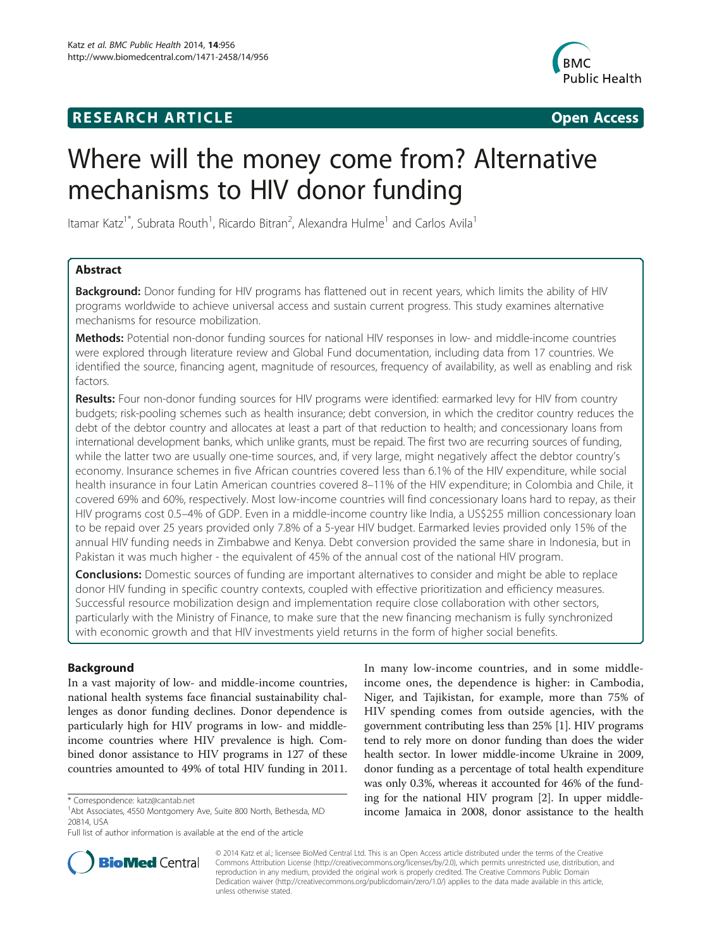# **RESEARCH ARTICLE Example 2018 12:00 Open Access**



# Where will the money come from? Alternative mechanisms to HIV donor funding

Itamar Katz<sup>1\*</sup>, Subrata Routh<sup>1</sup>, Ricardo Bitran<sup>2</sup>, Alexandra Hulme<sup>1</sup> and Carlos Avila<sup>1</sup>

# Abstract

Background: Donor funding for HIV programs has flattened out in recent years, which limits the ability of HIV programs worldwide to achieve universal access and sustain current progress. This study examines alternative mechanisms for resource mobilization.

Methods: Potential non-donor funding sources for national HIV responses in low- and middle-income countries were explored through literature review and Global Fund documentation, including data from 17 countries. We identified the source, financing agent, magnitude of resources, frequency of availability, as well as enabling and risk factors.

Results: Four non-donor funding sources for HIV programs were identified: earmarked levy for HIV from country budgets; risk-pooling schemes such as health insurance; debt conversion, in which the creditor country reduces the debt of the debtor country and allocates at least a part of that reduction to health; and concessionary loans from international development banks, which unlike grants, must be repaid. The first two are recurring sources of funding, while the latter two are usually one-time sources, and, if very large, might negatively affect the debtor country's economy. Insurance schemes in five African countries covered less than 6.1% of the HIV expenditure, while social health insurance in four Latin American countries covered 8–11% of the HIV expenditure; in Colombia and Chile, it covered 69% and 60%, respectively. Most low-income countries will find concessionary loans hard to repay, as their HIV programs cost 0.5–4% of GDP. Even in a middle-income country like India, a US\$255 million concessionary loan to be repaid over 25 years provided only 7.8% of a 5-year HIV budget. Earmarked levies provided only 15% of the annual HIV funding needs in Zimbabwe and Kenya. Debt conversion provided the same share in Indonesia, but in Pakistan it was much higher - the equivalent of 45% of the annual cost of the national HIV program.

**Conclusions:** Domestic sources of funding are important alternatives to consider and might be able to replace donor HIV funding in specific country contexts, coupled with effective prioritization and efficiency measures. Successful resource mobilization design and implementation require close collaboration with other sectors, particularly with the Ministry of Finance, to make sure that the new financing mechanism is fully synchronized with economic growth and that HIV investments yield returns in the form of higher social benefits.

# Background

In a vast majority of low- and middle-income countries, national health systems face financial sustainability challenges as donor funding declines. Donor dependence is particularly high for HIV programs in low- and middleincome countries where HIV prevalence is high. Combined donor assistance to HIV programs in 127 of these countries amounted to 49% of total HIV funding in 2011. In many low-income countries, and in some middleincome ones, the dependence is higher: in Cambodia, Niger, and Tajikistan, for example, more than 75% of HIV spending comes from outside agencies, with the government contributing less than 25% [[1](#page-7-0)]. HIV programs tend to rely more on donor funding than does the wider health sector. In lower middle-income Ukraine in 2009, donor funding as a percentage of total health expenditure was only 0.3%, whereas it accounted for 46% of the funding for the national HIV program [\[2](#page-7-0)]. In upper middleincome Jamaica in 2008, donor assistance to the health



© 2014 Katz et al.; licensee BioMed Central Ltd. This is an Open Access article distributed under the terms of the Creative Commons Attribution License [\(http://creativecommons.org/licenses/by/2.0\)](http://creativecommons.org/licenses/by/2.0), which permits unrestricted use, distribution, and reproduction in any medium, provided the original work is properly credited. The Creative Commons Public Domain Dedication waiver [\(http://creativecommons.org/publicdomain/zero/1.0/](http://creativecommons.org/publicdomain/zero/1.0/)) applies to the data made available in this article, unless otherwise stated.

<sup>\*</sup> Correspondence: [katz@cantab.net](mailto:katz@cantab.net) <sup>1</sup>

<sup>&</sup>lt;sup>1</sup>Abt Associates, 4550 Montgomery Ave, Suite 800 North, Bethesda, MD 20814, USA

Full list of author information is available at the end of the article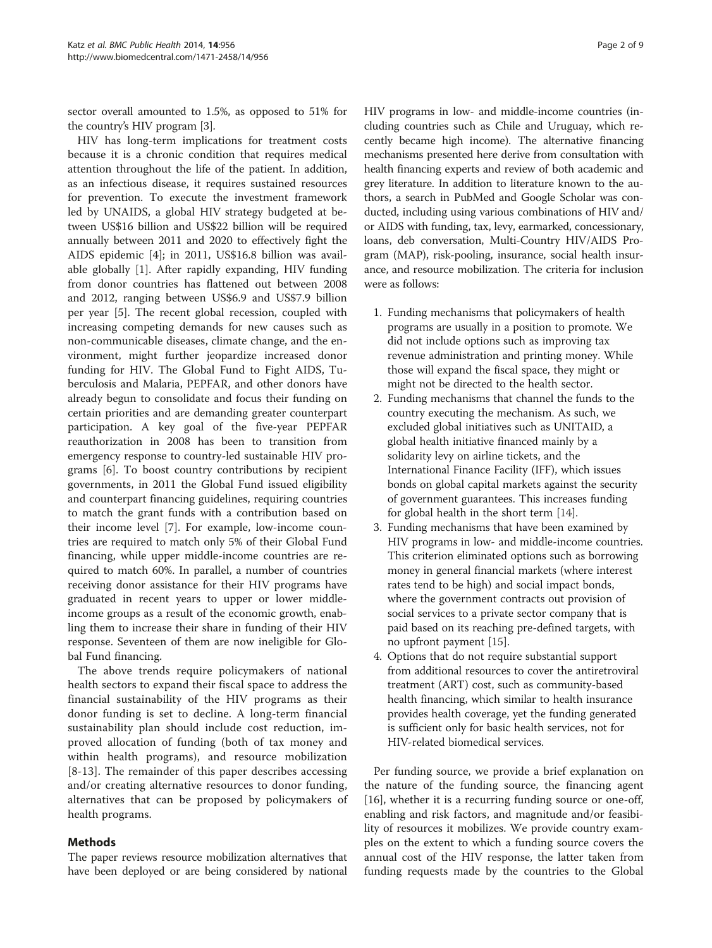sector overall amounted to 1.5%, as opposed to 51% for the country's HIV program [\[3](#page-7-0)].

HIV has long-term implications for treatment costs because it is a chronic condition that requires medical attention throughout the life of the patient. In addition, as an infectious disease, it requires sustained resources for prevention. To execute the investment framework led by UNAIDS, a global HIV strategy budgeted at between US\$16 billion and US\$22 billion will be required annually between 2011 and 2020 to effectively fight the AIDS epidemic [[4\]](#page-7-0); in 2011, US\$16.8 billion was available globally [\[1](#page-7-0)]. After rapidly expanding, HIV funding from donor countries has flattened out between 2008 and 2012, ranging between US\$6.9 and US\$7.9 billion per year [[5\]](#page-7-0). The recent global recession, coupled with increasing competing demands for new causes such as non-communicable diseases, climate change, and the environment, might further jeopardize increased donor funding for HIV. The Global Fund to Fight AIDS, Tuberculosis and Malaria, PEPFAR, and other donors have already begun to consolidate and focus their funding on certain priorities and are demanding greater counterpart participation. A key goal of the five-year PEPFAR reauthorization in 2008 has been to transition from emergency response to country-led sustainable HIV programs [[6\]](#page-7-0). To boost country contributions by recipient governments, in 2011 the Global Fund issued eligibility and counterpart financing guidelines, requiring countries to match the grant funds with a contribution based on their income level [[7\]](#page-7-0). For example, low-income countries are required to match only 5% of their Global Fund financing, while upper middle-income countries are required to match 60%. In parallel, a number of countries receiving donor assistance for their HIV programs have graduated in recent years to upper or lower middleincome groups as a result of the economic growth, enabling them to increase their share in funding of their HIV response. Seventeen of them are now ineligible for Global Fund financing.

The above trends require policymakers of national health sectors to expand their fiscal space to address the financial sustainability of the HIV programs as their donor funding is set to decline. A long-term financial sustainability plan should include cost reduction, improved allocation of funding (both of tax money and within health programs), and resource mobilization [[8-13\]](#page-7-0). The remainder of this paper describes accessing and/or creating alternative resources to donor funding, alternatives that can be proposed by policymakers of health programs.

# Methods

The paper reviews resource mobilization alternatives that have been deployed or are being considered by national HIV programs in low- and middle-income countries (including countries such as Chile and Uruguay, which recently became high income). The alternative financing mechanisms presented here derive from consultation with health financing experts and review of both academic and grey literature. In addition to literature known to the authors, a search in PubMed and Google Scholar was conducted, including using various combinations of HIV and/ or AIDS with funding, tax, levy, earmarked, concessionary, loans, deb conversation, Multi-Country HIV/AIDS Program (MAP), risk-pooling, insurance, social health insurance, and resource mobilization. The criteria for inclusion were as follows:

- 1. Funding mechanisms that policymakers of health programs are usually in a position to promote. We did not include options such as improving tax revenue administration and printing money. While those will expand the fiscal space, they might or might not be directed to the health sector.
- 2. Funding mechanisms that channel the funds to the country executing the mechanism. As such, we excluded global initiatives such as UNITAID, a global health initiative financed mainly by a solidarity levy on airline tickets, and the International Finance Facility (IFF), which issues bonds on global capital markets against the security of government guarantees. This increases funding for global health in the short term [[14](#page-7-0)].
- 3. Funding mechanisms that have been examined by HIV programs in low- and middle-income countries. This criterion eliminated options such as borrowing money in general financial markets (where interest rates tend to be high) and social impact bonds, where the government contracts out provision of social services to a private sector company that is paid based on its reaching pre-defined targets, with no upfront payment [[15](#page-7-0)].
- 4. Options that do not require substantial support from additional resources to cover the antiretroviral treatment (ART) cost, such as community-based health financing, which similar to health insurance provides health coverage, yet the funding generated is sufficient only for basic health services, not for HIV-related biomedical services.

Per funding source, we provide a brief explanation on the nature of the funding source, the financing agent [[16\]](#page-7-0), whether it is a recurring funding source or one-off, enabling and risk factors, and magnitude and/or feasibility of resources it mobilizes. We provide country examples on the extent to which a funding source covers the annual cost of the HIV response, the latter taken from funding requests made by the countries to the Global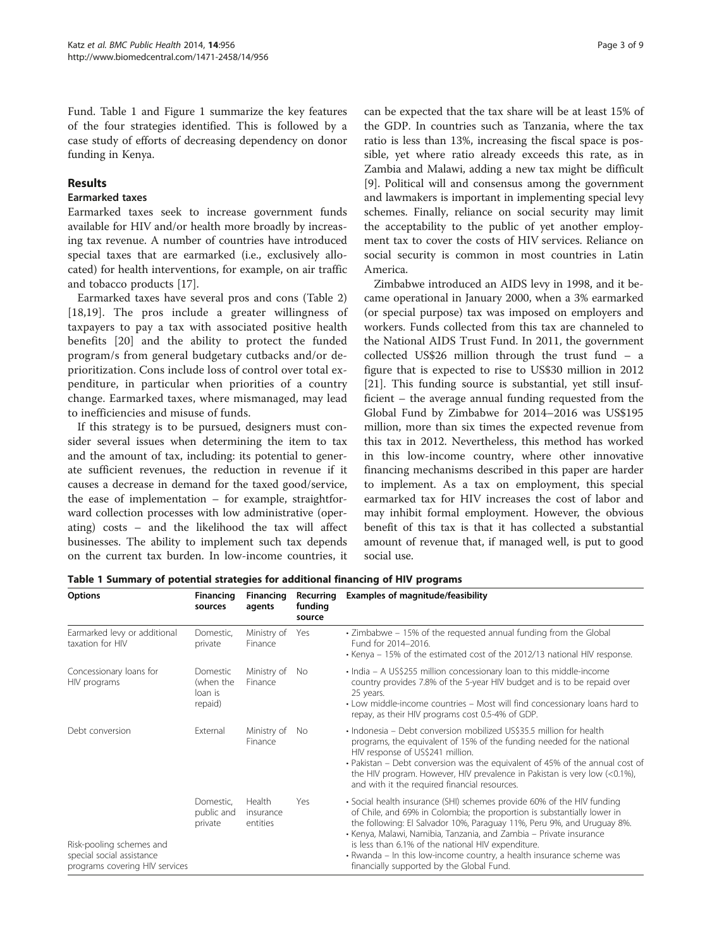Fund. Table 1 and Figure [1](#page-3-0) summarize the key features of the four strategies identified. This is followed by a case study of efforts of decreasing dependency on donor funding in Kenya.

#### Results

#### Earmarked taxes

Earmarked taxes seek to increase government funds available for HIV and/or health more broadly by increasing tax revenue. A number of countries have introduced special taxes that are earmarked (i.e., exclusively allocated) for health interventions, for example, on air traffic and tobacco products [\[17](#page-7-0)].

Earmarked taxes have several pros and cons (Table [2](#page-3-0)) [[18,19](#page-7-0)]. The pros include a greater willingness of taxpayers to pay a tax with associated positive health benefits [[20\]](#page-7-0) and the ability to protect the funded program/s from general budgetary cutbacks and/or deprioritization. Cons include loss of control over total expenditure, in particular when priorities of a country change. Earmarked taxes, where mismanaged, may lead to inefficiencies and misuse of funds.

If this strategy is to be pursued, designers must consider several issues when determining the item to tax and the amount of tax, including: its potential to generate sufficient revenues, the reduction in revenue if it causes a decrease in demand for the taxed good/service, the ease of implementation – for example, straightforward collection processes with low administrative (operating) costs – and the likelihood the tax will affect businesses. The ability to implement such tax depends on the current tax burden. In low-income countries, it

can be expected that the tax share will be at least 15% of the GDP. In countries such as Tanzania, where the tax ratio is less than 13%, increasing the fiscal space is possible, yet where ratio already exceeds this rate, as in Zambia and Malawi, adding a new tax might be difficult [[9\]](#page-7-0). Political will and consensus among the government and lawmakers is important in implementing special levy schemes. Finally, reliance on social security may limit the acceptability to the public of yet another employment tax to cover the costs of HIV services. Reliance on social security is common in most countries in Latin America.

Zimbabwe introduced an AIDS levy in 1998, and it became operational in January 2000, when a 3% earmarked (or special purpose) tax was imposed on employers and workers. Funds collected from this tax are channeled to the National AIDS Trust Fund. In 2011, the government collected US\$26 million through the trust fund – a figure that is expected to rise to US\$30 million in 2012 [[21\]](#page-8-0). This funding source is substantial, yet still insufficient – the average annual funding requested from the Global Fund by Zimbabwe for 2014–2016 was US\$195 million, more than six times the expected revenue from this tax in 2012. Nevertheless, this method has worked in this low-income country, where other innovative financing mechanisms described in this paper are harder to implement. As a tax on employment, this special earmarked tax for HIV increases the cost of labor and may inhibit formal employment. However, the obvious benefit of this tax is that it has collected a substantial amount of revenue that, if managed well, is put to good social use.

| <b>Options</b>                                                                                             | <b>Financing</b><br>sources                 | Financing<br>agents             | Recurring<br>funding<br>source | <b>Examples of magnitude/feasibility</b>                                                                                                                                                                                                                                                                                                                                                                                                                                     |
|------------------------------------------------------------------------------------------------------------|---------------------------------------------|---------------------------------|--------------------------------|------------------------------------------------------------------------------------------------------------------------------------------------------------------------------------------------------------------------------------------------------------------------------------------------------------------------------------------------------------------------------------------------------------------------------------------------------------------------------|
| Earmarked levy or additional<br>taxation for HIV                                                           | Domestic,<br>private                        | Ministry of<br>Finance          | Yes                            | · Zimbabwe - 15% of the requested annual funding from the Global<br>Fund for 2014-2016.<br>• Kenya – 15% of the estimated cost of the 2012/13 national HIV response.                                                                                                                                                                                                                                                                                                         |
| Concessionary loans for<br>HIV programs                                                                    | Domestic<br>(when the<br>loan is<br>repaid) | Ministry of<br>Finance          | No                             | • India – A US\$255 million concessionary loan to this middle-income<br>country provides 7.8% of the 5-year HIV budget and is to be repaid over<br>25 years.<br>• Low middle-income countries – Most will find concessionary loans hard to<br>repay, as their HIV programs cost 0.5-4% of GDP.                                                                                                                                                                               |
| Debt conversion<br>Risk-pooling schemes and<br>special social assistance<br>programs covering HIV services | External                                    | Ministry of<br>Finance          | No.                            | · Indonesia – Debt conversion mobilized US\$35.5 million for health<br>programs, the equivalent of 15% of the funding needed for the national<br>HIV response of US\$241 million.<br>• Pakistan – Debt conversion was the equivalent of 45% of the annual cost of<br>the HIV program. However, HIV prevalence in Pakistan is very low (<0.1%),<br>and with it the required financial resources.                                                                              |
|                                                                                                            | Domestic,<br>public and<br>private          | Health<br>insurance<br>entities | Yes                            | • Social health insurance (SHI) schemes provide 60% of the HIV funding<br>of Chile, and 69% in Colombia; the proportion is substantially lower in<br>the following: El Salvador 10%, Paraguay 11%, Peru 9%, and Uruguay 8%.<br>• Kenya, Malawi, Namibia, Tanzania, and Zambia - Private insurance<br>is less than 6.1% of the national HIV expenditure.<br>• Rwanda – In this low-income country, a health insurance scheme was<br>financially supported by the Global Fund. |

Table 1 Summary of potential strategies for additional financing of HIV programs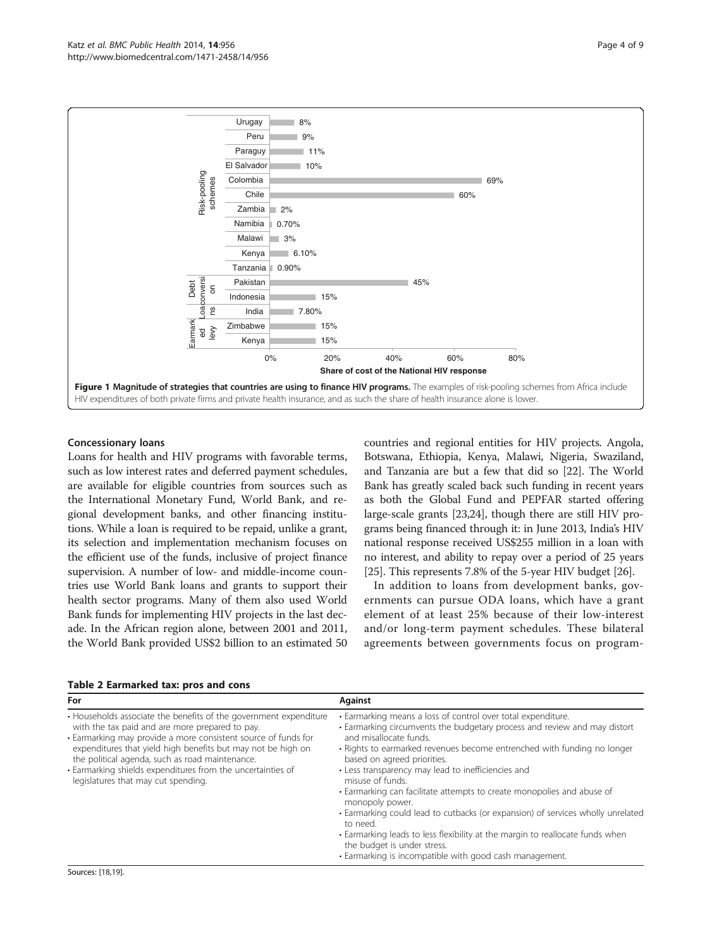<span id="page-3-0"></span>

#### Concessionary loans

Loans for health and HIV programs with favorable terms, such as low interest rates and deferred payment schedules, are available for eligible countries from sources such as the International Monetary Fund, World Bank, and regional development banks, and other financing institutions. While a loan is required to be repaid, unlike a grant, its selection and implementation mechanism focuses on the efficient use of the funds, inclusive of project finance supervision. A number of low- and middle-income countries use World Bank loans and grants to support their health sector programs. Many of them also used World Bank funds for implementing HIV projects in the last decade. In the African region alone, between 2001 and 2011, the World Bank provided US\$2 billion to an estimated 50 countries and regional entities for HIV projects. Angola, Botswana, Ethiopia, Kenya, Malawi, Nigeria, Swaziland, and Tanzania are but a few that did so [\[22\]](#page-8-0). The World Bank has greatly scaled back such funding in recent years as both the Global Fund and PEPFAR started offering large-scale grants [\[23,24\]](#page-8-0), though there are still HIV programs being financed through it: in June 2013, India's HIV national response received US\$255 million in a loan with no interest, and ability to repay over a period of 25 years [[25](#page-8-0)]. This represents 7.8% of the 5-year HIV budget [\[26\]](#page-8-0).

In addition to loans from development banks, governments can pursue ODA loans, which have a grant element of at least 25% because of their low-interest and/or long-term payment schedules. These bilateral agreements between governments focus on program-

| For                                                                                                                                                                                                                                                                                                                                                                                                             | <b>Against</b>                                                                                                                                                                                                                                                                                                                                                                                                                                                                                                                                                                                                                                                                                                                 |
|-----------------------------------------------------------------------------------------------------------------------------------------------------------------------------------------------------------------------------------------------------------------------------------------------------------------------------------------------------------------------------------------------------------------|--------------------------------------------------------------------------------------------------------------------------------------------------------------------------------------------------------------------------------------------------------------------------------------------------------------------------------------------------------------------------------------------------------------------------------------------------------------------------------------------------------------------------------------------------------------------------------------------------------------------------------------------------------------------------------------------------------------------------------|
| • Households associate the benefits of the government expenditure<br>with the tax paid and are more prepared to pay.<br>· Earmarking may provide a more consistent source of funds for<br>expenditures that yield high benefits but may not be high on<br>the political agenda, such as road maintenance.<br>· Earmarking shields expenditures from the uncertainties of<br>legislatures that may cut spending. | • Earmarking means a loss of control over total expenditure.<br>• Earmarking circumvents the budgetary process and review and may distort<br>and misallocate funds.<br>• Rights to earmarked revenues become entrenched with funding no longer<br>based on agreed priorities.<br>• Less transparency may lead to inefficiencies and<br>misuse of funds.<br>• Earmarking can facilitate attempts to create monopolies and abuse of<br>monopoly power.<br>• Earmarking could lead to cutbacks (or expansion) of services wholly unrelated<br>to need.<br>• Earmarking leads to less flexibility at the margin to reallocate funds when<br>the budget is under stress.<br>· Earmarking is incompatible with good cash management. |

#### Table 2 Earmarked tax: pros and cons

Sources: [[18,19\]](#page-7-0).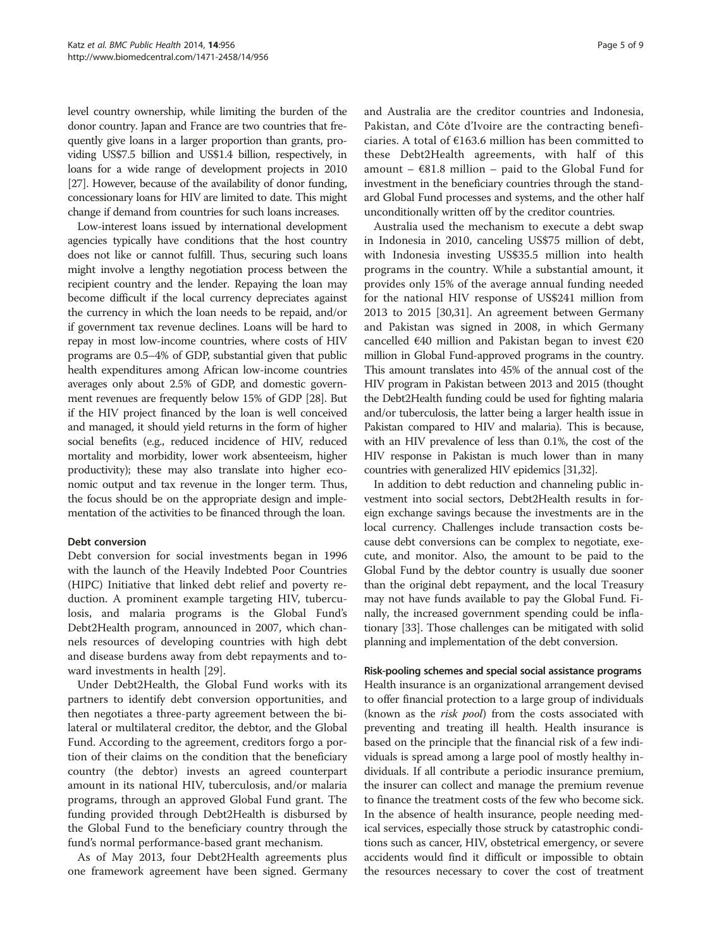level country ownership, while limiting the burden of the donor country. Japan and France are two countries that frequently give loans in a larger proportion than grants, providing US\$7.5 billion and US\$1.4 billion, respectively, in loans for a wide range of development projects in 2010 [[27](#page-8-0)]. However, because of the availability of donor funding, concessionary loans for HIV are limited to date. This might change if demand from countries for such loans increases.

Low-interest loans issued by international development agencies typically have conditions that the host country does not like or cannot fulfill. Thus, securing such loans might involve a lengthy negotiation process between the recipient country and the lender. Repaying the loan may become difficult if the local currency depreciates against the currency in which the loan needs to be repaid, and/or if government tax revenue declines. Loans will be hard to repay in most low-income countries, where costs of HIV programs are 0.5–4% of GDP, substantial given that public health expenditures among African low-income countries averages only about 2.5% of GDP, and domestic government revenues are frequently below 15% of GDP [[28](#page-8-0)]. But if the HIV project financed by the loan is well conceived and managed, it should yield returns in the form of higher social benefits (e.g., reduced incidence of HIV, reduced mortality and morbidity, lower work absenteeism, higher productivity); these may also translate into higher economic output and tax revenue in the longer term. Thus, the focus should be on the appropriate design and implementation of the activities to be financed through the loan.

# Debt conversion

Debt conversion for social investments began in 1996 with the launch of the Heavily Indebted Poor Countries (HIPC) Initiative that linked debt relief and poverty reduction. A prominent example targeting HIV, tuberculosis, and malaria programs is the Global Fund's Debt2Health program, announced in 2007, which channels resources of developing countries with high debt and disease burdens away from debt repayments and toward investments in health [[29\]](#page-8-0).

Under Debt2Health, the Global Fund works with its partners to identify debt conversion opportunities, and then negotiates a three-party agreement between the bilateral or multilateral creditor, the debtor, and the Global Fund. According to the agreement, creditors forgo a portion of their claims on the condition that the beneficiary country (the debtor) invests an agreed counterpart amount in its national HIV, tuberculosis, and/or malaria programs, through an approved Global Fund grant. The funding provided through Debt2Health is disbursed by the Global Fund to the beneficiary country through the fund's normal performance-based grant mechanism.

As of May 2013, four Debt2Health agreements plus one framework agreement have been signed. Germany

and Australia are the creditor countries and Indonesia, Pakistan, and Côte d'Ivoire are the contracting beneficiaries. A total of €163.6 million has been committed to these Debt2Health agreements, with half of this amount –  $681.8$  million – paid to the Global Fund for investment in the beneficiary countries through the standard Global Fund processes and systems, and the other half unconditionally written off by the creditor countries.

Australia used the mechanism to execute a debt swap in Indonesia in 2010, canceling US\$75 million of debt, with Indonesia investing US\$35.5 million into health programs in the country. While a substantial amount, it provides only 15% of the average annual funding needed for the national HIV response of US\$241 million from 2013 to 2015 [\[30,31\]](#page-8-0). An agreement between Germany and Pakistan was signed in 2008, in which Germany cancelled €40 million and Pakistan began to invest €20 million in Global Fund-approved programs in the country. This amount translates into 45% of the annual cost of the HIV program in Pakistan between 2013 and 2015 (thought the Debt2Health funding could be used for fighting malaria and/or tuberculosis, the latter being a larger health issue in Pakistan compared to HIV and malaria). This is because, with an HIV prevalence of less than 0.1%, the cost of the HIV response in Pakistan is much lower than in many countries with generalized HIV epidemics [\[31,32\]](#page-8-0).

In addition to debt reduction and channeling public investment into social sectors, Debt2Health results in foreign exchange savings because the investments are in the local currency. Challenges include transaction costs because debt conversions can be complex to negotiate, execute, and monitor. Also, the amount to be paid to the Global Fund by the debtor country is usually due sooner than the original debt repayment, and the local Treasury may not have funds available to pay the Global Fund. Finally, the increased government spending could be inflationary [\[33\]](#page-8-0). Those challenges can be mitigated with solid planning and implementation of the debt conversion.

Risk-pooling schemes and special social assistance programs Health insurance is an organizational arrangement devised to offer financial protection to a large group of individuals (known as the *risk pool*) from the costs associated with preventing and treating ill health. Health insurance is based on the principle that the financial risk of a few individuals is spread among a large pool of mostly healthy individuals. If all contribute a periodic insurance premium, the insurer can collect and manage the premium revenue to finance the treatment costs of the few who become sick. In the absence of health insurance, people needing medical services, especially those struck by catastrophic conditions such as cancer, HIV, obstetrical emergency, or severe accidents would find it difficult or impossible to obtain the resources necessary to cover the cost of treatment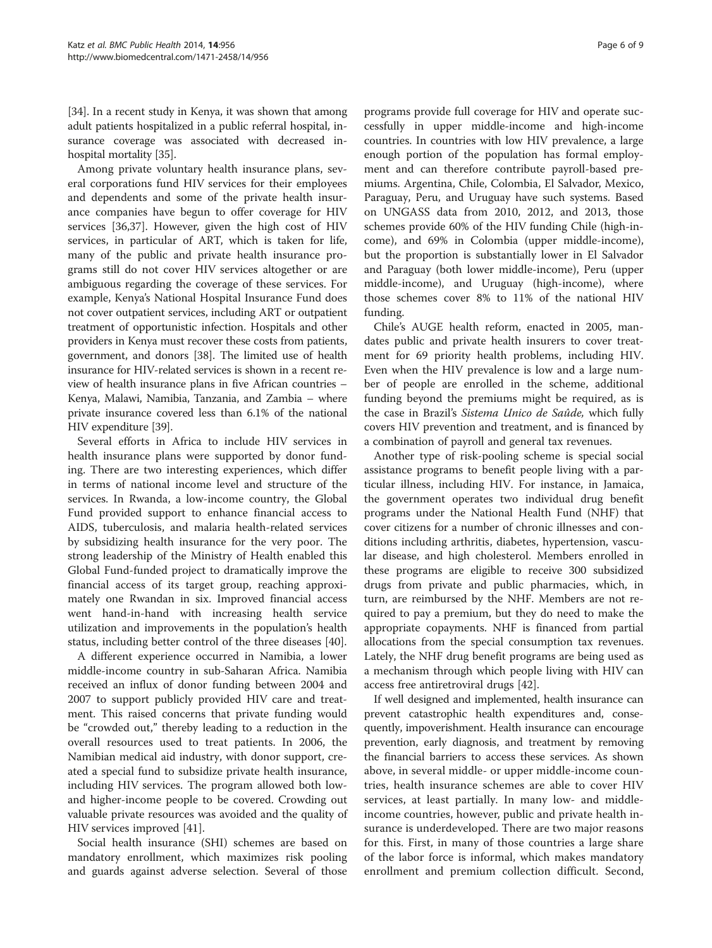[[34](#page-8-0)]. In a recent study in Kenya, it was shown that among adult patients hospitalized in a public referral hospital, insurance coverage was associated with decreased inhospital mortality [[35](#page-8-0)].

Among private voluntary health insurance plans, several corporations fund HIV services for their employees and dependents and some of the private health insurance companies have begun to offer coverage for HIV services [[36](#page-8-0),[37](#page-8-0)]. However, given the high cost of HIV services, in particular of ART, which is taken for life, many of the public and private health insurance programs still do not cover HIV services altogether or are ambiguous regarding the coverage of these services. For example, Kenya's National Hospital Insurance Fund does not cover outpatient services, including ART or outpatient treatment of opportunistic infection. Hospitals and other providers in Kenya must recover these costs from patients, government, and donors [\[38\]](#page-8-0). The limited use of health insurance for HIV-related services is shown in a recent review of health insurance plans in five African countries – Kenya, Malawi, Namibia, Tanzania, and Zambia – where private insurance covered less than 6.1% of the national HIV expenditure [[39](#page-8-0)].

Several efforts in Africa to include HIV services in health insurance plans were supported by donor funding. There are two interesting experiences, which differ in terms of national income level and structure of the services. In Rwanda, a low-income country, the Global Fund provided support to enhance financial access to AIDS, tuberculosis, and malaria health-related services by subsidizing health insurance for the very poor. The strong leadership of the Ministry of Health enabled this Global Fund-funded project to dramatically improve the financial access of its target group, reaching approximately one Rwandan in six. Improved financial access went hand-in-hand with increasing health service utilization and improvements in the population's health status, including better control of the three diseases [\[40\]](#page-8-0).

A different experience occurred in Namibia, a lower middle-income country in sub-Saharan Africa. Namibia received an influx of donor funding between 2004 and 2007 to support publicly provided HIV care and treatment. This raised concerns that private funding would be "crowded out," thereby leading to a reduction in the overall resources used to treat patients. In 2006, the Namibian medical aid industry, with donor support, created a special fund to subsidize private health insurance, including HIV services. The program allowed both lowand higher-income people to be covered. Crowding out valuable private resources was avoided and the quality of HIV services improved [\[41](#page-8-0)].

Social health insurance (SHI) schemes are based on mandatory enrollment, which maximizes risk pooling and guards against adverse selection. Several of those

programs provide full coverage for HIV and operate successfully in upper middle-income and high-income countries. In countries with low HIV prevalence, a large enough portion of the population has formal employment and can therefore contribute payroll-based premiums. Argentina, Chile, Colombia, El Salvador, Mexico, Paraguay, Peru, and Uruguay have such systems. Based on UNGASS data from 2010, 2012, and 2013, those schemes provide 60% of the HIV funding Chile (high-income), and 69% in Colombia (upper middle-income), but the proportion is substantially lower in El Salvador and Paraguay (both lower middle-income), Peru (upper middle-income), and Uruguay (high-income), where those schemes cover 8% to 11% of the national HIV funding.

Chile's AUGE health reform, enacted in 2005, mandates public and private health insurers to cover treatment for 69 priority health problems, including HIV. Even when the HIV prevalence is low and a large number of people are enrolled in the scheme, additional funding beyond the premiums might be required, as is the case in Brazil's Sistema Unico de Saûde, which fully covers HIV prevention and treatment, and is financed by a combination of payroll and general tax revenues.

Another type of risk-pooling scheme is special social assistance programs to benefit people living with a particular illness, including HIV. For instance, in Jamaica, the government operates two individual drug benefit programs under the National Health Fund (NHF) that cover citizens for a number of chronic illnesses and conditions including arthritis, diabetes, hypertension, vascular disease, and high cholesterol. Members enrolled in these programs are eligible to receive 300 subsidized drugs from private and public pharmacies, which, in turn, are reimbursed by the NHF. Members are not required to pay a premium, but they do need to make the appropriate copayments. NHF is financed from partial allocations from the special consumption tax revenues. Lately, the NHF drug benefit programs are being used as a mechanism through which people living with HIV can access free antiretroviral drugs [\[42\]](#page-8-0).

If well designed and implemented, health insurance can prevent catastrophic health expenditures and, consequently, impoverishment. Health insurance can encourage prevention, early diagnosis, and treatment by removing the financial barriers to access these services. As shown above, in several middle- or upper middle-income countries, health insurance schemes are able to cover HIV services, at least partially. In many low- and middleincome countries, however, public and private health insurance is underdeveloped. There are two major reasons for this. First, in many of those countries a large share of the labor force is informal, which makes mandatory enrollment and premium collection difficult. Second,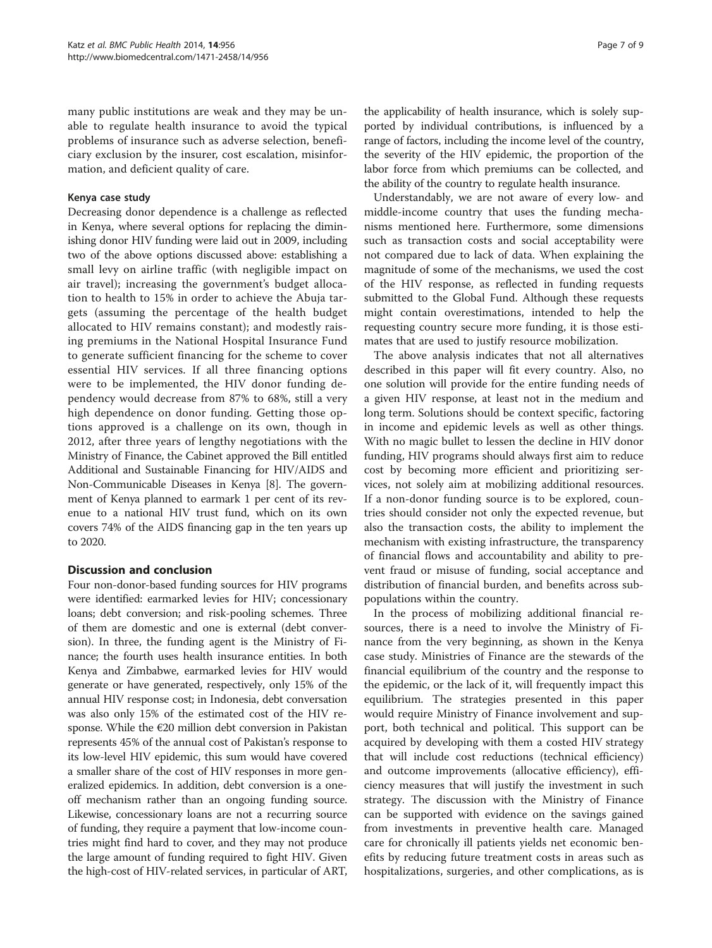many public institutions are weak and they may be unable to regulate health insurance to avoid the typical problems of insurance such as adverse selection, beneficiary exclusion by the insurer, cost escalation, misinformation, and deficient quality of care.

# Kenya case study

Decreasing donor dependence is a challenge as reflected in Kenya, where several options for replacing the diminishing donor HIV funding were laid out in 2009, including two of the above options discussed above: establishing a small levy on airline traffic (with negligible impact on air travel); increasing the government's budget allocation to health to 15% in order to achieve the Abuja targets (assuming the percentage of the health budget allocated to HIV remains constant); and modestly raising premiums in the National Hospital Insurance Fund to generate sufficient financing for the scheme to cover essential HIV services. If all three financing options were to be implemented, the HIV donor funding dependency would decrease from 87% to 68%, still a very high dependence on donor funding. Getting those options approved is a challenge on its own, though in 2012, after three years of lengthy negotiations with the Ministry of Finance, the Cabinet approved the Bill entitled Additional and Sustainable Financing for HIV/AIDS and Non-Communicable Diseases in Kenya [\[8](#page-7-0)]. The government of Kenya planned to earmark 1 per cent of its revenue to a national HIV trust fund, which on its own covers 74% of the AIDS financing gap in the ten years up to 2020.

# Discussion and conclusion

Four non-donor-based funding sources for HIV programs were identified: earmarked levies for HIV; concessionary loans; debt conversion; and risk-pooling schemes. Three of them are domestic and one is external (debt conversion). In three, the funding agent is the Ministry of Finance; the fourth uses health insurance entities. In both Kenya and Zimbabwe, earmarked levies for HIV would generate or have generated, respectively, only 15% of the annual HIV response cost; in Indonesia, debt conversation was also only 15% of the estimated cost of the HIV response. While the  $\epsilon$ 20 million debt conversion in Pakistan represents 45% of the annual cost of Pakistan's response to its low-level HIV epidemic, this sum would have covered a smaller share of the cost of HIV responses in more generalized epidemics. In addition, debt conversion is a oneoff mechanism rather than an ongoing funding source. Likewise, concessionary loans are not a recurring source of funding, they require a payment that low-income countries might find hard to cover, and they may not produce the large amount of funding required to fight HIV. Given the high-cost of HIV-related services, in particular of ART,

the applicability of health insurance, which is solely supported by individual contributions, is influenced by a range of factors, including the income level of the country, the severity of the HIV epidemic, the proportion of the labor force from which premiums can be collected, and the ability of the country to regulate health insurance.

Understandably, we are not aware of every low- and middle-income country that uses the funding mechanisms mentioned here. Furthermore, some dimensions such as transaction costs and social acceptability were not compared due to lack of data. When explaining the magnitude of some of the mechanisms, we used the cost of the HIV response, as reflected in funding requests submitted to the Global Fund. Although these requests might contain overestimations, intended to help the requesting country secure more funding, it is those estimates that are used to justify resource mobilization.

The above analysis indicates that not all alternatives described in this paper will fit every country. Also, no one solution will provide for the entire funding needs of a given HIV response, at least not in the medium and long term. Solutions should be context specific, factoring in income and epidemic levels as well as other things. With no magic bullet to lessen the decline in HIV donor funding, HIV programs should always first aim to reduce cost by becoming more efficient and prioritizing services, not solely aim at mobilizing additional resources. If a non-donor funding source is to be explored, countries should consider not only the expected revenue, but also the transaction costs, the ability to implement the mechanism with existing infrastructure, the transparency of financial flows and accountability and ability to prevent fraud or misuse of funding, social acceptance and distribution of financial burden, and benefits across subpopulations within the country.

In the process of mobilizing additional financial resources, there is a need to involve the Ministry of Finance from the very beginning, as shown in the Kenya case study. Ministries of Finance are the stewards of the financial equilibrium of the country and the response to the epidemic, or the lack of it, will frequently impact this equilibrium. The strategies presented in this paper would require Ministry of Finance involvement and support, both technical and political. This support can be acquired by developing with them a costed HIV strategy that will include cost reductions (technical efficiency) and outcome improvements (allocative efficiency), efficiency measures that will justify the investment in such strategy. The discussion with the Ministry of Finance can be supported with evidence on the savings gained from investments in preventive health care. Managed care for chronically ill patients yields net economic benefits by reducing future treatment costs in areas such as hospitalizations, surgeries, and other complications, as is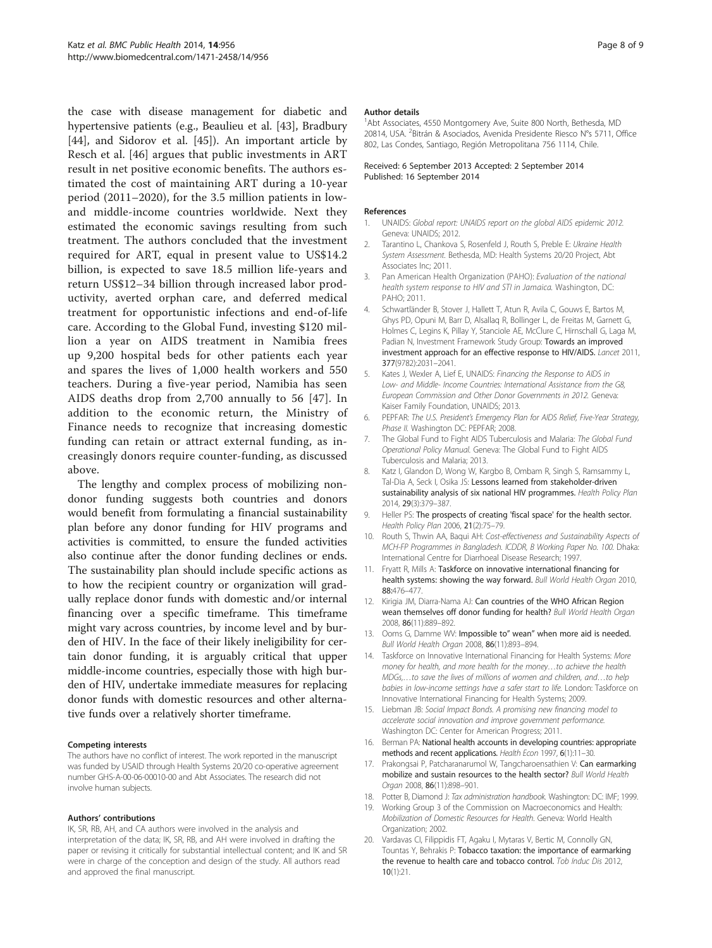<span id="page-7-0"></span>the case with disease management for diabetic and hypertensive patients (e.g., Beaulieu et al. [\[43](#page-8-0)], Bradbury [[44\]](#page-8-0), and Sidorov et al. [\[45\]](#page-8-0)). An important article by Resch et al. [[46](#page-8-0)] argues that public investments in ART result in net positive economic benefits. The authors estimated the cost of maintaining ART during a 10-year period (2011–2020), for the 3.5 million patients in lowand middle-income countries worldwide. Next they estimated the economic savings resulting from such treatment. The authors concluded that the investment required for ART, equal in present value to US\$14.2 billion, is expected to save 18.5 million life-years and return US\$12–34 billion through increased labor productivity, averted orphan care, and deferred medical treatment for opportunistic infections and end-of-life care. According to the Global Fund, investing \$120 million a year on AIDS treatment in Namibia frees up 9,200 hospital beds for other patients each year and spares the lives of 1,000 health workers and 550 teachers. During a five-year period, Namibia has seen AIDS deaths drop from 2,700 annually to 56 [[47\]](#page-8-0). In addition to the economic return, the Ministry of Finance needs to recognize that increasing domestic funding can retain or attract external funding, as increasingly donors require counter-funding, as discussed above.

The lengthy and complex process of mobilizing nondonor funding suggests both countries and donors would benefit from formulating a financial sustainability plan before any donor funding for HIV programs and activities is committed, to ensure the funded activities also continue after the donor funding declines or ends. The sustainability plan should include specific actions as to how the recipient country or organization will gradually replace donor funds with domestic and/or internal financing over a specific timeframe. This timeframe might vary across countries, by income level and by burden of HIV. In the face of their likely ineligibility for certain donor funding, it is arguably critical that upper middle-income countries, especially those with high burden of HIV, undertake immediate measures for replacing donor funds with domestic resources and other alternative funds over a relatively shorter timeframe.

#### Competing interests

The authors have no conflict of interest. The work reported in the manuscript was funded by USAID through Health Systems 20/20 co-operative agreement number GHS-A-00-06-00010-00 and Abt Associates. The research did not involve human subjects.

#### Authors' contributions

IK, SR, RB, AH, and CA authors were involved in the analysis and interpretation of the data; IK, SR, RB, and AH were involved in drafting the paper or revising it critically for substantial intellectual content; and IK and SR were in charge of the conception and design of the study. All authors read and approved the final manuscript.

#### Author details

<sup>1</sup>Abt Associates, 4550 Montgomery Ave, Suite 800 North, Bethesda, MD 20814, USA. <sup>2</sup> Bitrán & Asociados, Avenida Presidente Riesco N°s 5711, Office 802, Las Condes, Santiago, Región Metropolitana 756 1114, Chile.

#### Received: 6 September 2013 Accepted: 2 September 2014 Published: 16 September 2014

#### References

- 1. UNAIDS: Global report: UNAIDS report on the global AIDS epidemic 2012. Geneva: UNAIDS; 2012.
- 2. Tarantino L, Chankova S, Rosenfeld J, Routh S, Preble E: Ukraine Health System Assessment. Bethesda, MD: Health Systems 20/20 Project, Abt Associates Inc; 2011.
- 3. Pan American Health Organization (PAHO): Evaluation of the national health system response to HIV and STI in Jamaica. Washington, DC: PAHO; 2011.
- 4. Schwartländer B, Stover J, Hallett T, Atun R, Avila C, Gouws E, Bartos M, Ghys PD, Opuni M, Barr D, Alsallaq R, Bollinger L, de Freitas M, Garnett G, Holmes C, Legins K, Pillay Y, Stanciole AE, McClure C, Hirnschall G, Laga M, Padian N, Investment Framework Study Group: Towards an improved investment approach for an effective response to HIV/AIDS. Lancet 2011, 377(9782):2031–2041.
- 5. Kates J, Wexler A, Lief E, UNAIDS: Financing the Response to AIDS in Low- and Middle- Income Countries: International Assistance from the G8, European Commission and Other Donor Governments in 2012. Geneva: Kaiser Family Foundation, UNAIDS; 2013.
- 6. PEPFAR: The U.S. President's Emergency Plan for AIDS Relief, Five-Year Strategy, Phase II. Washington DC: PEPFAR; 2008.
- 7. The Global Fund to Fight AIDS Tuberculosis and Malaria: The Global Fund Operational Policy Manual. Geneva: The Global Fund to Fight AIDS Tuberculosis and Malaria; 2013.
- 8. Katz I, Glandon D, Wong W, Kargbo B, Ombam R, Singh S, Ramsammy L, Tal-Dia A, Seck I, Osika JS: Lessons learned from stakeholder-driven sustainability analysis of six national HIV programmes. Health Policy Plan 2014, 29(3):379–387.
- 9. Heller PS: The prospects of creating 'fiscal space' for the health sector. Health Policy Plan 2006, 21(2):75–79.
- 10. Routh S, Thwin AA, Baqui AH: Cost-effectiveness and Sustainability Aspects of MCH-FP Programmes in Bangladesh. ICDDR, B Working Paper No. 100. Dhaka: International Centre for Diarrhoeal Disease Research; 1997.
- 11. Fryatt R, Mills A: Taskforce on innovative international financing for health systems: showing the way forward. Bull World Health Organ 2010, 88:476–477.
- 12. Kirigia JM, Diarra-Nama AJ: Can countries of the WHO African Region wean themselves off donor funding for health? Bull World Health Organ 2008, 86(11):889–892.
- 13. Ooms G, Damme WV: Impossible to" wean" when more aid is needed. Bull World Health Organ 2008, 86(11):893–894.
- 14. Taskforce on Innovative International Financing for Health Systems: More money for health, and more health for the money…to achieve the health MDGs,…to save the lives of millions of women and children, and…to help babies in low-income settings have a safer start to life. London: Taskforce on Innovative International Financing for Health Systems; 2009.
- 15. Liebman JB: Social Impact Bonds. A promising new financing model to accelerate social innovation and improve government performance. Washington DC: Center for American Progress; 2011.
- 16. Berman PA: National health accounts in developing countries: appropriate methods and recent applications. Health Econ 1997, 6(1):11–30.
- 17. Prakongsai P, Patcharanarumol W, Tangcharoensathien V: Can earmarking mobilize and sustain resources to the health sector? Bull World Health Organ 2008, 86(11):898–901.
- 18. Potter B, Diamond J: Tax administration handbook. Washington: DC: IMF; 1999.
- 19. Working Group 3 of the Commission on Macroeconomics and Health: Mobilization of Domestic Resources for Health. Geneva: World Health Organization; 2002.
- 20. Vardavas CI, Filippidis FT, Agaku I, Mytaras V, Bertic M, Connolly GN, Tountas Y, Behrakis P: Tobacco taxation: the importance of earmarking the revenue to health care and tobacco control. Tob Induc Dis 2012, 10(1):21.